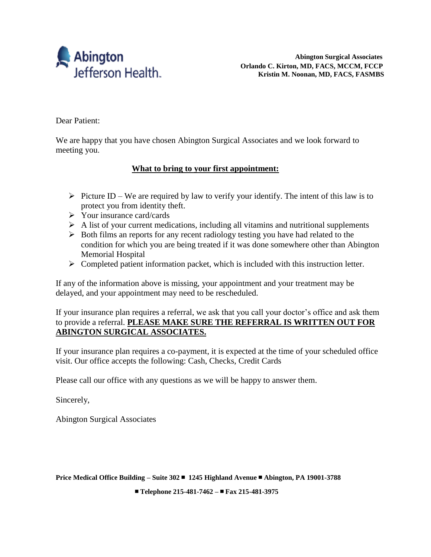

Dear Patient:

We are happy that you have chosen Abington Surgical Associates and we look forward to meeting you.

### **What to bring to your first appointment:**

- $\triangleright$  Picture ID We are required by law to verify your identify. The intent of this law is to protect you from identity theft.
- $\triangleright$  Your insurance card/cards
- $\triangleright$  A list of your current medications, including all vitamins and nutritional supplements
- $\triangleright$  Both films an reports for any recent radiology testing you have had related to the condition for which you are being treated if it was done somewhere other than Abington Memorial Hospital
- $\triangleright$  Completed patient information packet, which is included with this instruction letter.

If any of the information above is missing, your appointment and your treatment may be delayed, and your appointment may need to be rescheduled.

If your insurance plan requires a referral, we ask that you call your doctor's office and ask them to provide a referral. **PLEASE MAKE SURE THE REFERRAL IS WRITTEN OUT FOR ABINGTON SURGICAL ASSOCIATES.**

If your insurance plan requires a co-payment, it is expected at the time of your scheduled office visit. Our office accepts the following: Cash, Checks, Credit Cards

Please call our office with any questions as we will be happy to answer them.

Sincerely,

Abington Surgical Associates

**Price Medical Office Building – Suite 302** ■ **1245 Highland Avenue** ■ **Abington, PA 19001-3788** 

■ **Telephone 215-481-7462 –** ■ **Fax 215-481-3975**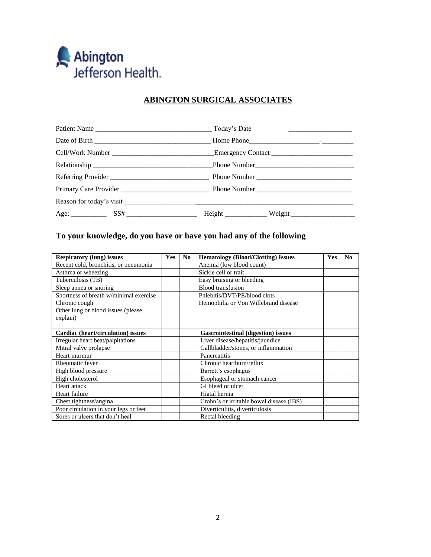

## **ABINGTON SURGICAL ASSOCIATES**

### **To your knowledge, do you have or have you had any of the following**

| <b>Respiratory (lung) issues</b>       | <b>Yes</b> | N <sub>0</sub> | <b>Hematology (Blood/Clotting) Issues</b>  | Yes | N <sub>0</sub> |
|----------------------------------------|------------|----------------|--------------------------------------------|-----|----------------|
| Recent cold, bronchitis, or pneumonia  |            |                | Anemia (low blood count)                   |     |                |
| Asthma or wheezing                     |            |                | Sickle cell or trait                       |     |                |
| Tuberculosis (TB)                      |            |                | Easy bruising or bleeding                  |     |                |
| Sleep apnea or snoring                 |            |                | <b>Blood</b> transfusion                   |     |                |
| Shortness of breath w/minimal exercise |            |                | Phlebitis/DVT/PE/blood clots               |     |                |
| Chronic cough                          |            |                | Hemophilia or Von Willebrand disease       |     |                |
| Other lung or blood issues (please)    |            |                |                                            |     |                |
| explain)                               |            |                |                                            |     |                |
|                                        |            |                |                                            |     |                |
| Cardiac (heart/circulation) issues     |            |                | <b>Gastrointestinal (digestion) issues</b> |     |                |
| Irregular heart beat/palpitations      |            |                | Liver disease/hepatitis/jaundice           |     |                |
| Mitral valve prolapse                  |            |                | Gallbladder/stones, or inflammation        |     |                |
| Heart murmur                           |            |                | Pancreatitis                               |     |                |
| Rheumatic fever                        |            |                | Chronic heartburn/reflux                   |     |                |
| High blood pressure                    |            |                | Barrett's esophagus                        |     |                |
| High cholesterol                       |            |                | Esophageal or stomach cancer               |     |                |
| Heart attack                           |            |                | GI bleed or ulcer                          |     |                |
| Heart failure                          |            |                | Hiatal hernia                              |     |                |
| Chest tightness/angina                 |            |                | Crohn's or irritable bowel disease (IBS)   |     |                |
| Poor circulation in your legs or feet  |            |                | Diverticulitis, diverticulosis             |     |                |
| Sores or ulcers that don't heal        |            |                | Rectal bleeding                            |     |                |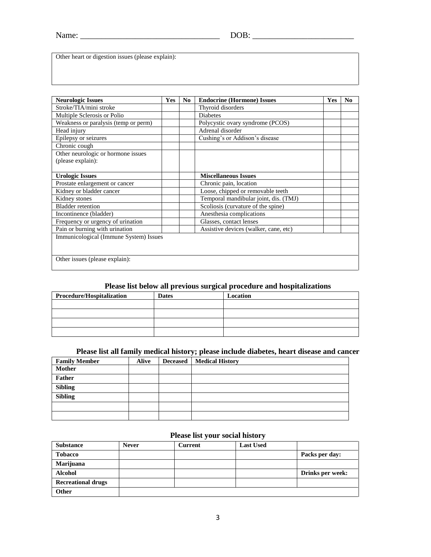Name: \_\_\_\_\_\_\_\_\_\_\_\_\_\_\_\_\_\_\_\_\_\_\_\_\_\_\_\_\_\_\_\_\_ DOB: \_\_\_\_\_\_\_\_\_\_\_\_\_\_\_\_\_\_\_\_\_\_\_\_

Other heart or digestion issues (please explain):

| <b>Neurologic Issues</b>               | <b>Yes</b> | N <sub>0</sub> | <b>Endocrine (Hormone) Issues</b>     | Yes | N <sub>0</sub> |
|----------------------------------------|------------|----------------|---------------------------------------|-----|----------------|
| Stroke/TIA/mini stroke                 |            |                | Thyroid disorders                     |     |                |
| Multiple Sclerosis or Polio            |            |                | <b>Diabetes</b>                       |     |                |
| Weakness or paralysis (temp or perm)   |            |                | Polycystic ovary syndrome (PCOS)      |     |                |
| Head injury                            |            |                | Adrenal disorder                      |     |                |
| Epilepsy or seizures                   |            |                | Cushing's or Addison's disease        |     |                |
| Chronic cough                          |            |                |                                       |     |                |
| Other neurologic or hormone issues     |            |                |                                       |     |                |
| (please explain):                      |            |                |                                       |     |                |
|                                        |            |                |                                       |     |                |
| <b>Urologic Issues</b>                 |            |                | <b>Miscellaneous Issues</b>           |     |                |
| Prostate enlargement or cancer         |            |                | Chronic pain, location                |     |                |
| Kidney or bladder cancer               |            |                | Loose, chipped or removable teeth     |     |                |
| Kidney stones                          |            |                | Temporal mandibular joint, dis. (TMJ) |     |                |
| <b>Bladder</b> retention               |            |                | Scoliosis (curvature of the spine)    |     |                |
| Incontinence (bladder)                 |            |                | Anesthesia complications              |     |                |
| Frequency or urgency of urination      |            |                | Glasses, contact lenses               |     |                |
| Pain or burning with urination         |            |                | Assistive devices (walker, cane, etc) |     |                |
| Immunicological (Immune System) Issues |            |                |                                       |     |                |
|                                        |            |                |                                       |     |                |
|                                        |            |                |                                       |     |                |
| Other issues (please explain):         |            |                |                                       |     |                |
|                                        |            |                |                                       |     |                |

### **Please list below all previous surgical procedure and hospitalizations**

| Procedure/Hospitalization | <b>Dates</b> | Location |
|---------------------------|--------------|----------|
|                           |              |          |
|                           |              |          |
|                           |              |          |
|                           |              |          |

#### **Please list all family medical history; please include diabetes, heart disease and cancer**

| <b>Family Member</b> | Alive | <b>Deceased</b> | <b>Medical History</b> |
|----------------------|-------|-----------------|------------------------|
| <b>Mother</b>        |       |                 |                        |
| Father               |       |                 |                        |
| <b>Sibling</b>       |       |                 |                        |
| <b>Sibling</b>       |       |                 |                        |
|                      |       |                 |                        |
|                      |       |                 |                        |

### **Please list your social history**

| <b>Substance</b>          | <b>Never</b> | <b>Current</b> | <b>Last Used</b> |                         |
|---------------------------|--------------|----------------|------------------|-------------------------|
| <b>Tobacco</b>            |              |                |                  | Packs per day:          |
| Marijuana                 |              |                |                  |                         |
| <b>Alcohol</b>            |              |                |                  | <b>Drinks per week:</b> |
| <b>Recreational drugs</b> |              |                |                  |                         |
| <b>Other</b>              |              |                |                  |                         |